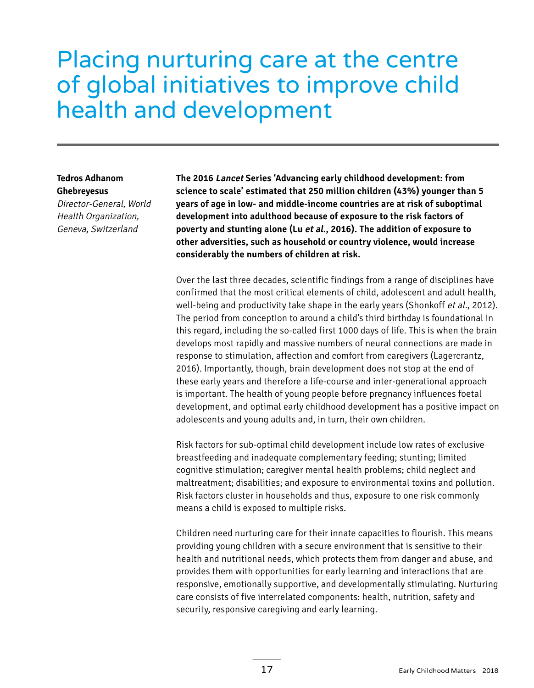# Placing nurturing care at the centre of global initiatives to improve child health and development

#### **Tedros Adhanom Ghebreyesus**

Director-General, World Health Organization, Geneva, Switzerland

**The 2016 Lancet Series 'Advancing early childhood development: from science to scale' estimated that 250 million children (43%) younger than 5 years of age in low- and middle-income countries are at risk of suboptimal development into adulthood because of exposure to the risk factors of poverty and stunting alone (Lu et al., 2016). The addition of exposure to other adversities, such as household or country violence, would increase considerably the numbers of children at risk.** 

Over the last three decades, scientific findings from a range of disciplines have confirmed that the most critical elements of child, adolescent and adult health, well-being and productivity take shape in the early years (Shonkoff et al., 2012). The period from conception to around a child's third birthday is foundational in this regard, including the so-called first 1000 days of life. This is when the brain develops most rapidly and massive numbers of neural connections are made in response to stimulation, affection and comfort from caregivers (Lagercrantz, 2016). Importantly, though, brain development does not stop at the end of these early years and therefore a life-course and inter-generational approach is important. The health of young people before pregnancy influences foetal development, and optimal early childhood development has a positive impact on adolescents and young adults and, in turn, their own children.

Risk factors for sub-optimal child development include low rates of exclusive breastfeeding and inadequate complementary feeding; stunting; limited cognitive stimulation; caregiver mental health problems; child neglect and maltreatment; disabilities; and exposure to environmental toxins and pollution. Risk factors cluster in households and thus, exposure to one risk commonly means a child is exposed to multiple risks.

Children need nurturing care for their innate capacities to flourish. This means providing young children with a secure environment that is sensitive to their health and nutritional needs, which protects them from danger and abuse, and provides them with opportunities for early learning and interactions that are responsive, emotionally supportive, and developmentally stimulating. Nurturing care consists of five interrelated components: health, nutrition, safety and security, responsive caregiving and early learning.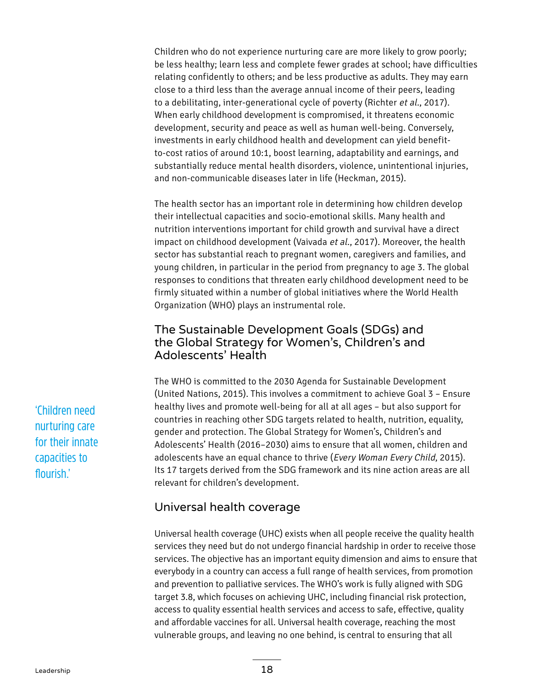Children who do not experience nurturing care are more likely to grow poorly; be less healthy; learn less and complete fewer grades at school; have difficulties relating confidently to others; and be less productive as adults. They may earn close to a third less than the average annual income of their peers, leading to a debilitating, inter-generational cycle of poverty (Richter et al., 2017). When early childhood development is compromised, it threatens economic development, security and peace as well as human well-being. Conversely, investments in early childhood health and development can yield benefitto-cost ratios of around 10:1, boost learning, adaptability and earnings, and substantially reduce mental health disorders, violence, unintentional injuries, and non-communicable diseases later in life (Heckman, 2015).

The health sector has an important role in determining how children develop their intellectual capacities and socio-emotional skills. Many health and nutrition interventions important for child growth and survival have a direct impact on childhood development (Vaivada et al., 2017). Moreover, the health sector has substantial reach to pregnant women, caregivers and families, and young children, in particular in the period from pregnancy to age 3. The global responses to conditions that threaten early childhood development need to be firmly situated within a number of global initiatives where the World Health Organization (WHO) plays an instrumental role.

### The Sustainable Development Goals (SDGs) and the Global Strategy for Women's, Children's and Adolescents' Health

The WHO is committed to the 2030 Agenda for Sustainable Development (United Nations, 2015). This involves a commitment to achieve Goal 3 – Ensure healthy lives and promote well-being for all at all ages – but also support for countries in reaching other SDG targets related to health, nutrition, equality, gender and protection. The Global Strategy for Women's, Children's and Adolescents' Health (2016–2030) aims to ensure that all women, children and adolescents have an equal chance to thrive (Every Woman Every Child, 2015). Its 17 targets derived from the SDG framework and its nine action areas are all relevant for children's development.

## Universal health coverage

Universal health coverage (UHC) exists when all people receive the quality health services they need but do not undergo financial hardship in order to receive those services. The objective has an important equity dimension and aims to ensure that everybody in a country can access a full range of health services, from promotion and prevention to palliative services. The WHO's work is fully aligned with SDG target 3.8, which focuses on achieving UHC, including financial risk protection, access to quality essential health services and access to safe, effective, quality and affordable vaccines for all. Universal health coverage, reaching the most vulnerable groups, and leaving no one behind, is central to ensuring that all

'Children need nurturing care for their innate capacities to flourish.'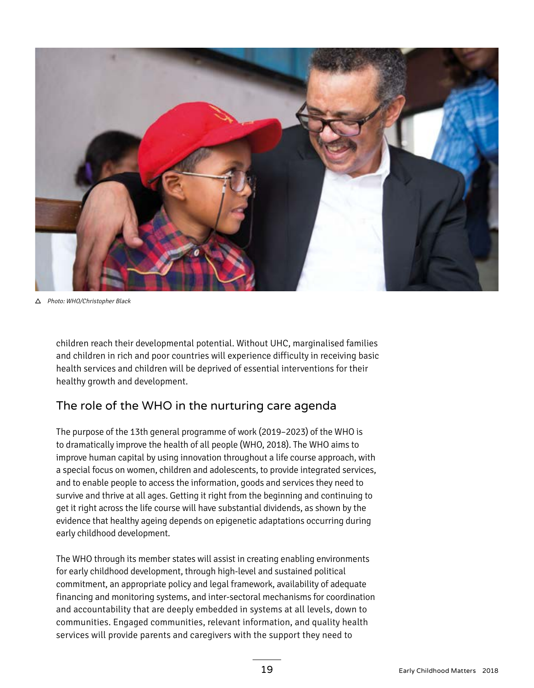

Photo: WHO/Christopher Black

children reach their developmental potential. Without UHC, marginalised families and children in rich and poor countries will experience difficulty in receiving basic health services and children will be deprived of essential interventions for their healthy growth and development.

## The role of the WHO in the nurturing care agenda

The purpose of the 13th general programme of work (2019–2023) of the WHO is to dramatically improve the health of all people (WHO, 2018). The WHO aims to improve human capital by using innovation throughout a life course approach, with a special focus on women, children and adolescents, to provide integrated services, and to enable people to access the information, goods and services they need to survive and thrive at all ages. Getting it right from the beginning and continuing to get it right across the life course will have substantial dividends, as shown by the evidence that healthy ageing depends on epigenetic adaptations occurring during early childhood development.

The WHO through its member states will assist in creating enabling environments for early childhood development, through high-level and sustained political commitment, an appropriate policy and legal framework, availability of adequate financing and monitoring systems, and inter-sectoral mechanisms for coordination and accountability that are deeply embedded in systems at all levels, down to communities. Engaged communities, relevant information, and quality health services will provide parents and caregivers with the support they need to